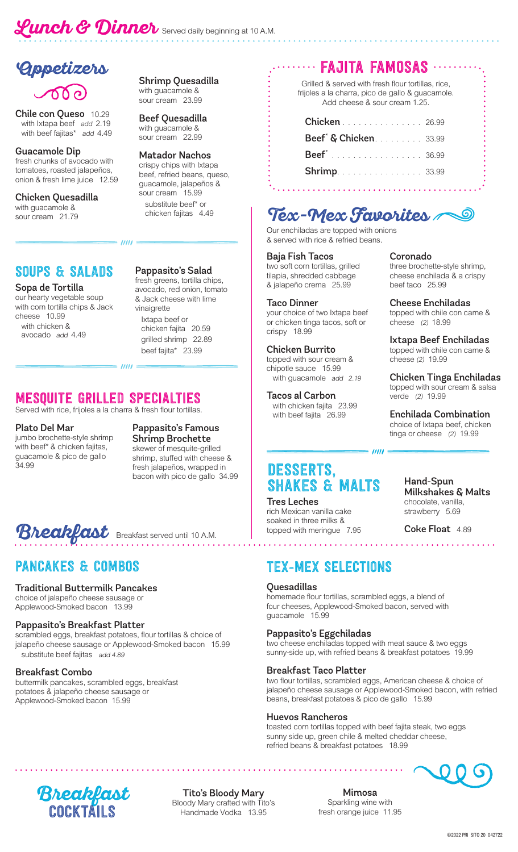# **Lunch & Dinner** Served daily beginning at 10 A.M.

## **Appetizers**

**Chile con Queso** 10.29<br>with Ixtapa beef add 2.19 with beef fajitas\* add 4.49

#### Guacamole Dip fresh chunks of avocado with tomatoes, roasted jalapeños, onion & fresh lime juice 12.59

**Chicken Quesadilla**<br>with guacamole & sour cream 21.79

### SOUPS & SALADS Pappasito's Salad

#### Sopa de Tortilla

our hearty vegetable soup with corn tortilla chips & Jack<br>cheese 10.99 with chicken & avocado add 4.49

Shrimp Quesadilla with guacamole & sour cream 23.99

Beef Quesadilla with guacamole & sour cream 22.99

#### Matador Nachos crispy chips with Ixtapa beef, refried beans, queso, guacamole, jalapeños & substitute beef\* or chicken fajitas 4.49

fresh greens, tortilla chips, avocado, red onion, tomato & Jack cheese with lime vinaigrette Ixtapa beef or<br>chicken fajita 20.59 grilled shrimp 22.89 beef fajita\* 23.99

## MESQUITE GRILLED SPECIALTIES

 $=$  /////  $=$ 

 $=$   $\mu$ 

Served with rice, frijoles a la charra & fresh flour tortillas.

#### Plato Del Mar

jumbo brochette-style shrimp with beef\* & chicken fajitas, guacamole & pico de gallo 34.99

Pappasito's Famous Shrimp Brochette skewer of mesquite-grilled shrimp, stuffed with cheese & fresh jalapeños, wrapped in bacon with pico de gallo 34.99

## **Breakfast** Breakfast served until 10 A.M.

#### Traditional Buttermilk Pancakes

choice of jalapeño cheese sausage or Applewood-Smoked bacon 13.99

#### Pappasito's Breakfast Platter

scrambled eggs, breakfast potatoes, flour tortillas & choice of jalapeño cheese sausage or Applewood-Smoked bacon 15.99 substitute beef fajitas add 4.89

#### Breakfast Combo

buttermilk pancakes, scrambled eggs, breakfast potatoes & jalapeño cheese sausage or Applewood-Smoked bacon 15.99

## FAJITA FAMOSAS

Grilled & served with fresh flour tortillas, rice, frijoles a la charra, pico de gallo & guacamole. Add cheese & sour cream 1.25.

| <b>Chicken</b> 26.99              |  |
|-----------------------------------|--|
| Beef <sup>*</sup> & Chicken 33.99 |  |
| <b>Beef</b> <sup>*</sup> 36.99    |  |
| <b>Shrimp.</b> 33.99              |  |
|                                   |  |

## **Tex-Mex Favorites**

Our enchiladas are topped with onions & served with rice & refried beans.

#### Baja Fish Tacos

two soft corn tortillas, grilled tilapia, shredded cabbage & jalapeño crema 25.99

Taco Dinner your choice of two Ixtapa beef or chicken tinga tacos, soft or crispy 18.99

Chicken Burrito topped with sour cream & chipotle sauce 15.99 with guacamole add 2.19

Tacos al Carbon with chicken fajita 23.99 with beef fajita 26.99

## DESSERTS, SHAKES & MALTS

Tres Leches rich Mexican vanilla cake soaked in three milks & topped with meringue 7.95 Coronado

three brochette-style shrimp, cheese enchilada & a crispy beef taco 25.99

Cheese Enchiladas topped with chile con carne & cheese (2) 18.99

Ixtapa Beef Enchiladas topped with chile con carne & cheese (2) 19.99

Chicken Tinga Enchiladas topped with sour cream & salsa verde (2) 19.99

Enchilada Combination choice of Ixtapa beef, chicken tinga or cheese (2) 19.99

> Hand-Spun Milkshakes & Malts chocolate, vanilla, strawberry 5.69

Coke Float 4.89

. . . . . . . . . . . . . . . . .

## PANCAKES & COMBOS TEX-MEX SELECTIONS

. . . . . . . . . . . . . . .

#### Quesadillas

homemade flour tortillas, scrambled eggs, a blend of four cheeses, Applewood-Smoked bacon, served with guacamole 15.99

#### Pappasito's Eggchiladas

two cheese enchiladas topped with meat sauce & two eggs sunny-side up, with refried beans & breakfast potatoes 19.99

 $=$   $\frac{1}{100}$ 

#### Breakfast Taco Platter

two flour tortillas, scrambled eggs, American cheese & choice of jalapeño cheese sausage or Applewood-Smoked bacon, with refried beans, breakfast potatoes & pico de gallo 15.99

#### Huevos Rancheros

toasted corn tortillas topped with beef fajita steak, two eggs sunny side up, green chile & melted cheddar cheese, refried beans & breakfast potatoes 18.99





Tito's Bloody Mary Bloody Mary crafted with Tito's Handmade Vodka 13.95

Mimosa Sparkling wine with fresh orange juice 11.95